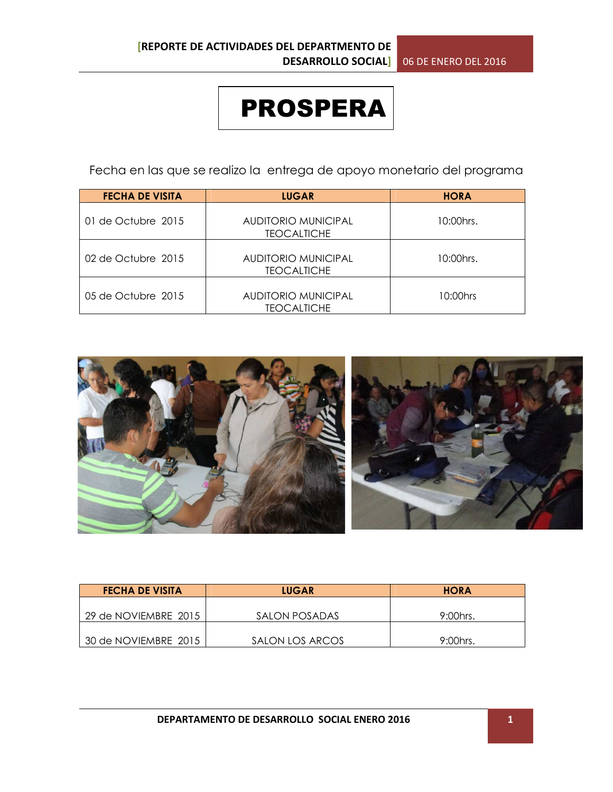## PROSPERA

Fecha en las que se realizo la entrega de apoyo monetario del programa

| <b>FECHA DE VISITA</b> | <b>LUGAR</b>                                     | <b>HORA</b> |
|------------------------|--------------------------------------------------|-------------|
| 01 de Octubre 2015     | AUDITORIO MUNICIPAL<br><b>TEOCALTICHE</b>        | 10:00 hrs.  |
| 02 de Octubre 2015     | <b>AUDITORIO MUNICIPAL</b><br><b>TEOCALTICHE</b> | 10:00hrs.   |
| 05 de Octubre 2015     | <b>AUDITORIO MUNICIPAL</b><br><b>TEOCALTICHE</b> | 10:00hrs    |



| <b>FECHA DE VISITA</b> | <b>LUGAR</b>    | <b>HORA</b> |
|------------------------|-----------------|-------------|
|                        |                 |             |
| 29 de NOVIEMBRE 2015   | SALON POSADAS   | $9:00$ hrs. |
|                        |                 |             |
| 30 de NOVIEMBRE 2015   | SALON LOS ARCOS | $9:00$ hrs. |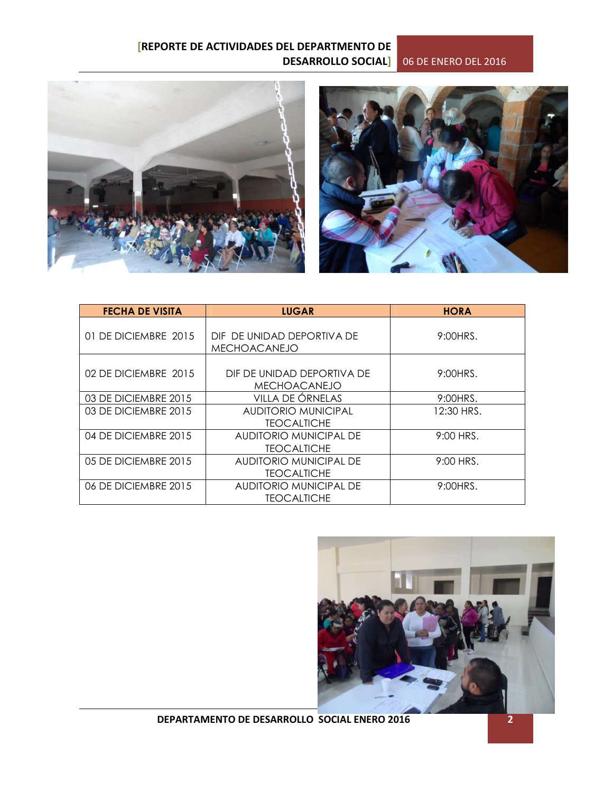



| <b>FECHA DE VISITA</b> | <b>LUGAR</b>                                      | <b>HORA</b> |  |
|------------------------|---------------------------------------------------|-------------|--|
| 01 DE DICIEMBRE 2015   | DIF DE UNIDAD DEPORTIVA DE<br><b>MECHOACANEJO</b> | 9:00HRS.    |  |
| 02 DE DICIEMBRE 2015   | DIF DE UNIDAD DEPORTIVA DE<br><b>MECHOACANEJO</b> | 9:00HRS.    |  |
| 03 DE DICIEMBRE 2015   | VILLA DE ÓRNELAS                                  | 9:00HRS.    |  |
| 03 DE DICIEMBRE 2015   | AUDITORIO MUNICIPAL<br><b>TEOCALTICHE</b>         | 12:30 HRS.  |  |
| 04 DE DICIEMBRE 2015   | AUDITORIO MUNICIPAL DE<br><b>TEOCALTICHE</b>      | 9:00 HRS.   |  |
| 05 DE DICIEMBRE 2015   | AUDITORIO MUNICIPAL DE<br><b>TEOCALTICHE</b>      | 9:00 HRS.   |  |
| 06 DE DICIEMBRE 2015   | AUDITORIO MUNICIPAL DE<br><b>TEOCALTICHE</b>      | 9:00HRS.    |  |



**DEPARTAMENTO DE DESARROLLO SOCIAL ENERO 2016 2**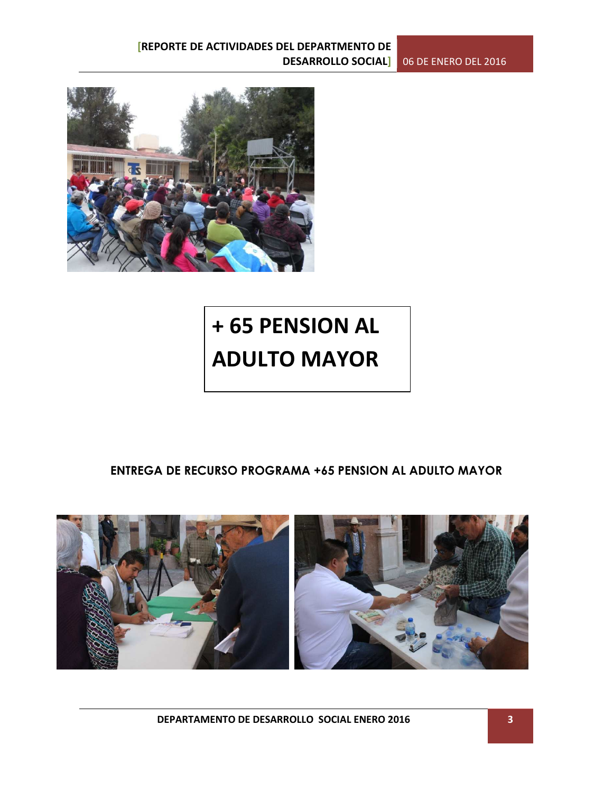

## **+ 65 PENSION AL ADULTO MAYOR**

### **ENTREGA DE RECURSO PROGRAMA +65 PENSION AL ADULTO MAYOR**



**DEPARTAMENTO DE DESARROLLO SOCIAL ENERO 2016 3**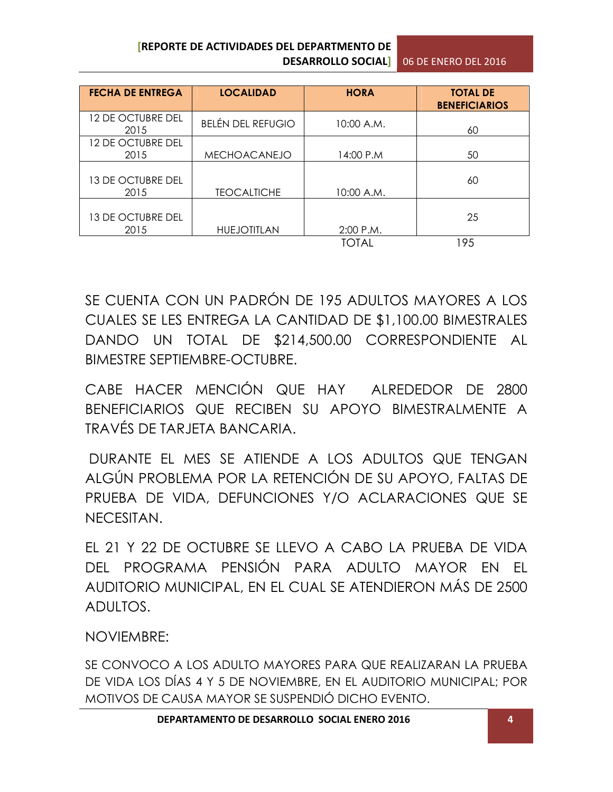| <b>FECHA DE ENTREGA</b>          | <b>LOCALIDAD</b>         | <b>HORA</b> | <b>TOTAL DE</b><br><b>BENEFICIARIOS</b> |
|----------------------------------|--------------------------|-------------|-----------------------------------------|
| 12 DE OCTUBRE DEL<br>2015        | <b>BELÉN DEL REFUGIO</b> | 10:00 A.M.  | 60                                      |
| 12 DE OCTUBRE DEL<br>2015        | <b>MECHOACANEJO</b>      | 14:00 P.M   | 50                                      |
| 13 DE OCTUBRE DEL<br>2015        | <b>TEOCALTICHE</b>       | 10:00 A.M.  | 60                                      |
| <b>13 DE OCTUBRE DEL</b><br>2015 | <b>HUEJOTITLAN</b>       | 2:00 P.M.   | 25                                      |
|                                  |                          | TOTAL       | 195                                     |

SE CUENTA CON UN PADRÓN DE 195 ADULTOS MAYORES A LOS CUALES SE LES ENTREGA LA CANTIDAD DE \$1,100.00 BIMESTRALES DANDO UN TOTAL DE \$214,500.00 CORRESPONDIENTE AL BIMESTRE SEPTIEMBRE-OCTUBRE.

CABE HACER MENCIÓN QUE HAY ALREDEDOR DE 2800 BENEFICIARIOS QUE RECIBEN SU APOYO BIMESTRALMENTE A TRAVÉS DE TARJETA BANCARIA.

 DURANTE EL MES SE ATIENDE A LOS ADULTOS QUE TENGAN ALGÚN PROBLEMA POR LA RETENCIÓN DE SU APOYO, FALTAS DE PRUEBA DE VIDA, DEFUNCIONES Y/O ACLARACIONES QUE SE NECESITAN.

EL 21 Y 22 DE OCTUBRE SE LLEVO A CABO LA PRUEBA DE VIDA DEL PROGRAMA PENSIÓN PARA ADULTO MAYOR EN EL AUDITORIO MUNICIPAL, EN EL CUAL SE ATENDIERON MÁS DE 2500 ADULTOS.

NOVIEMBRE:

SE CONVOCO A LOS ADULTO MAYORES PARA QUE REALIZARAN LA PRUEBA DE VIDA LOS DÍAS 4 Y 5 DE NOVIEMBRE, EN EL AUDITORIO MUNICIPAL; POR MOTIVOS DE CAUSA MAYOR SE SUSPENDIÓ DICHO EVENTO.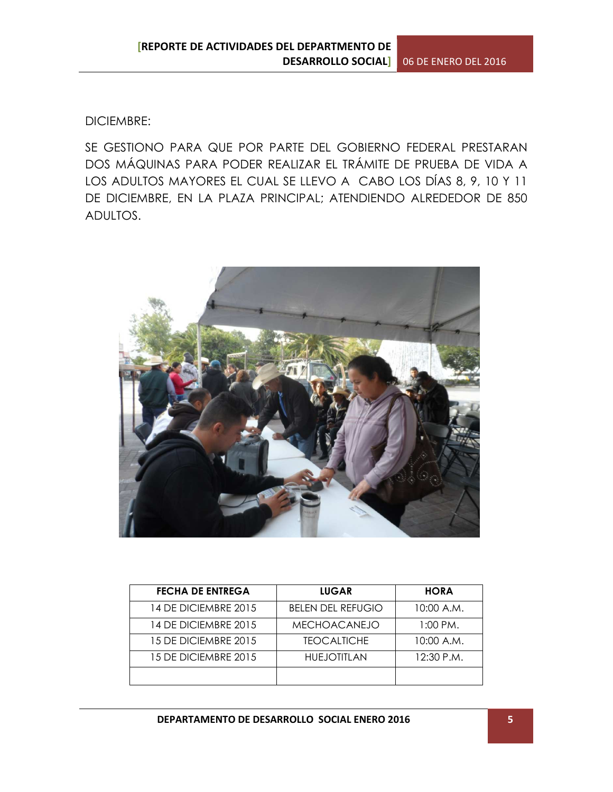DICIEMBRE:

SE GESTIONO PARA QUE POR PARTE DEL GOBIERNO FEDERAL PRESTARAN DOS MÁQUINAS PARA PODER REALIZAR EL TRÁMITE DE PRUEBA DE VIDA A LOS ADULTOS MAYORES EL CUAL SE LLEVO A CABO LOS DÍAS 8, 9, 10 Y 11 DE DICIEMBRE, EN LA PLAZA PRINCIPAL; ATENDIENDO ALREDEDOR DE 850 ADULTOS.



| <b>FECHA DE ENTREGA</b> | <b>LUGAR</b>             | <b>HORA</b> |
|-------------------------|--------------------------|-------------|
| 14 DE DICIEMBRE 2015    | <b>BELEN DEL REFUGIO</b> | 10:00 A.M.  |
| 14 DE DICIEMBRE 2015    | <b>MECHOACANEJO</b>      | 1:00 PM.    |
| 15 DE DICIEMBRE 2015    | <b>TEOCALTICHE</b>       | 10:00 A.M.  |
| 15 DE DICIEMBRE 2015    | <b>HUEJOTITLAN</b>       | 12:30 P.M.  |
|                         |                          |             |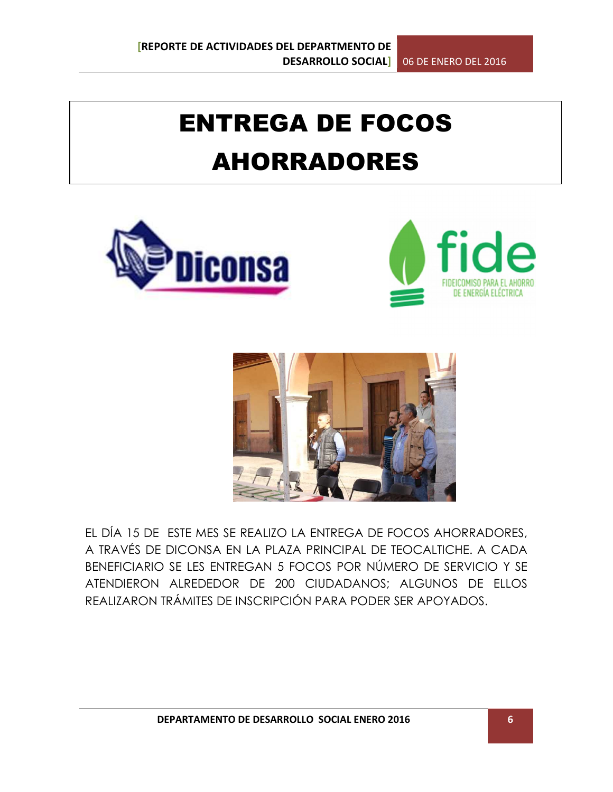# ENTREGA DE FOCOS AHORRADORES







EL DÍA 15 DE ESTE MES SE REALIZO LA ENTREGA DE FOCOS AHORRADORES, A TRAVÉS DE DICONSA EN LA PLAZA PRINCIPAL DE TEOCALTICHE. A CADA BENEFICIARIO SE LES ENTREGAN 5 FOCOS POR NÚMERO DE SERVICIO Y SE ATENDIERON ALREDEDOR DE 200 CIUDADANOS; ALGUNOS DE ELLOS REALIZARON TRÁMITES DE INSCRIPCIÓN PARA PODER SER APOYADOS.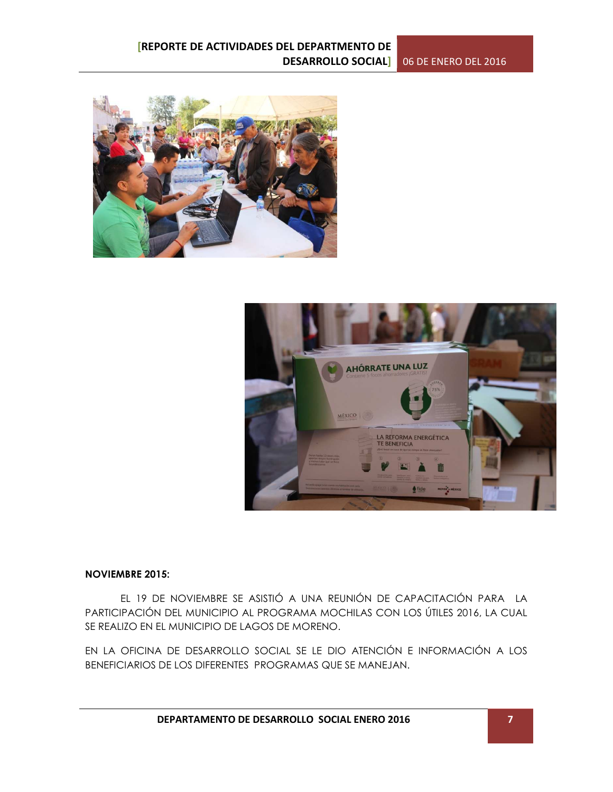



#### **NOVIEMBRE 2015:**

 EL 19 DE NOVIEMBRE SE ASISTIÓ A UNA REUNIÓN DE CAPACITACIÓN PARA LA PARTICIPACIÓN DEL MUNICIPIO AL PROGRAMA MOCHILAS CON LOS ÚTILES 2016, LA CUAL SE REALIZO EN EL MUNICIPIO DE LAGOS DE MORENO.

EN LA OFICINA DE DESARROLLO SOCIAL SE LE DIO ATENCIÓN E INFORMACIÓN A LOS BENEFICIARIOS DE LOS DIFERENTES PROGRAMAS QUE SE MANEJAN.

**DEPARTAMENTO DE DESARROLLO SOCIAL ENERO 2016 7**